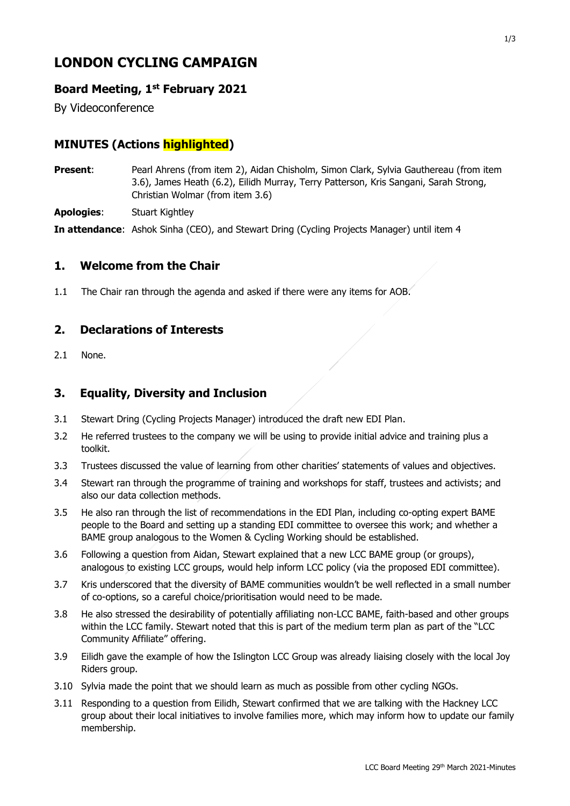# **LONDON CYCLING CAMPAIGN**

## **Board Meeting, 1st February 2021**

By Videoconference

# **MINUTES (Actions highlighted)**

- **Present:** Pearl Ahrens (from item 2), Aidan Chisholm, Simon Clark, Sylvia Gauthereau (from item 3.6), James Heath (6.2), Eilidh Murray, Terry Patterson, Kris Sangani, Sarah Strong, Christian Wolmar (from item 3.6)
- **Apologies**: Stuart Kightley

**In attendance**: Ashok Sinha (CEO), and Stewart Dring (Cycling Projects Manager) until item 4

#### **1. Welcome from the Chair**

1.1 The Chair ran through the agenda and asked if there were any items for AOB.

#### **2. Declarations of Interests**

2.1 None.

#### **3. Equality, Diversity and Inclusion**

- 3.1 Stewart Dring (Cycling Projects Manager) introduced the draft new EDI Plan.
- 3.2 He referred trustees to the company we will be using to provide initial advice and training plus a toolkit.
- 3.3 Trustees discussed the value of learning from other charities' statements of values and objectives.
- 3.4 Stewart ran through the programme of training and workshops for staff, trustees and activists; and also our data collection methods.
- 3.5 He also ran through the list of recommendations in the EDI Plan, including co-opting expert BAME people to the Board and setting up a standing EDI committee to oversee this work; and whether a BAME group analogous to the Women & Cycling Working should be established.
- 3.6 Following a question from Aidan, Stewart explained that a new LCC BAME group (or groups), analogous to existing LCC groups, would help inform LCC policy (via the proposed EDI committee).
- 3.7 Kris underscored that the diversity of BAME communities wouldn't be well reflected in a small number of co-options, so a careful choice/prioritisation would need to be made.
- 3.8 He also stressed the desirability of potentially affiliating non-LCC BAME, faith-based and other groups within the LCC family. Stewart noted that this is part of the medium term plan as part of the "LCC Community Affiliate" offering.
- 3.9 Eilidh gave the example of how the Islington LCC Group was already liaising closely with the local Joy Riders group.
- 3.10 Sylvia made the point that we should learn as much as possible from other cycling NGOs.
- 3.11 Responding to a question from Eilidh, Stewart confirmed that we are talking with the Hackney LCC group about their local initiatives to involve families more, which may inform how to update our family membership.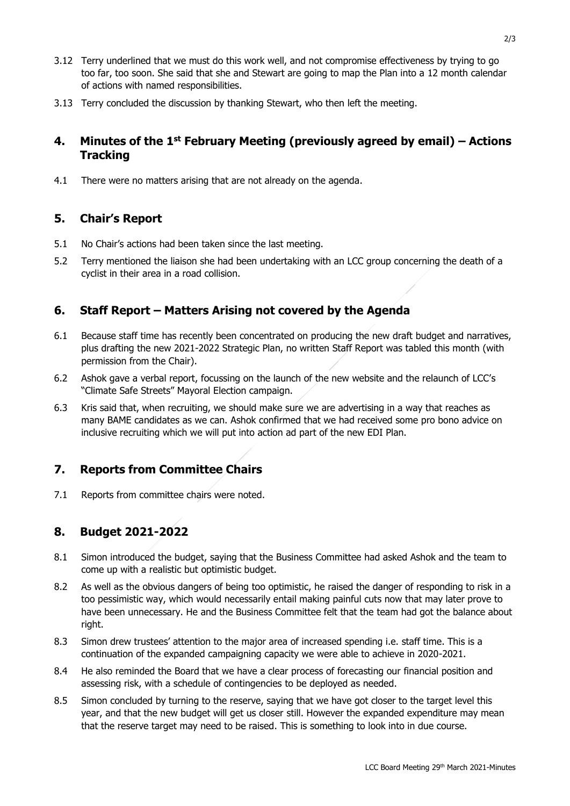- 3.12 Terry underlined that we must do this work well, and not compromise effectiveness by trying to go too far, too soon. She said that she and Stewart are going to map the Plan into a 12 month calendar of actions with named responsibilities.
- 3.13 Terry concluded the discussion by thanking Stewart, who then left the meeting.

## **4. Minutes of the 1 st February Meeting (previously agreed by email) – Actions Tracking**

4.1 There were no matters arising that are not already on the agenda.

### **5. Chair's Report**

- 5.1 No Chair's actions had been taken since the last meeting.
- 5.2 Terry mentioned the liaison she had been undertaking with an LCC group concerning the death of a cyclist in their area in a road collision.

### **6. Staff Report – Matters Arising not covered by the Agenda**

- 6.1 Because staff time has recently been concentrated on producing the new draft budget and narratives, plus drafting the new 2021-2022 Strategic Plan, no written Staff Report was tabled this month (with permission from the Chair).
- 6.2 Ashok gave a verbal report, focussing on the launch of the new website and the relaunch of LCC's "Climate Safe Streets" Mayoral Election campaign.
- 6.3 Kris said that, when recruiting, we should make sure we are advertising in a way that reaches as many BAME candidates as we can. Ashok confirmed that we had received some pro bono advice on inclusive recruiting which we will put into action ad part of the new EDI Plan.

### **7. Reports from Committee Chairs**

7.1 Reports from committee chairs were noted.

#### **8. Budget 2021-2022**

- 8.1 Simon introduced the budget, saying that the Business Committee had asked Ashok and the team to come up with a realistic but optimistic budget.
- 8.2 As well as the obvious dangers of being too optimistic, he raised the danger of responding to risk in a too pessimistic way, which would necessarily entail making painful cuts now that may later prove to have been unnecessary. He and the Business Committee felt that the team had got the balance about right.
- 8.3 Simon drew trustees' attention to the major area of increased spending i.e. staff time. This is a continuation of the expanded campaigning capacity we were able to achieve in 2020-2021.
- 8.4 He also reminded the Board that we have a clear process of forecasting our financial position and assessing risk, with a schedule of contingencies to be deployed as needed.
- 8.5 Simon concluded by turning to the reserve, saying that we have got closer to the target level this year, and that the new budget will get us closer still. However the expanded expenditure may mean that the reserve target may need to be raised. This is something to look into in due course.